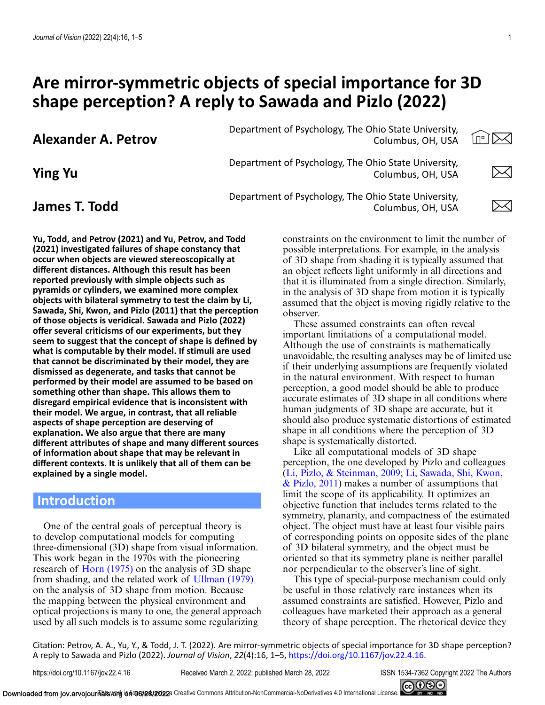# **Are mirror-symmetric objects of special importance for 3D shape perception? A reply to Sawada and Pizlo (2022)**

**Alexander A. Petrov** Department of Psychology, The Ohio State University,<br>Columbus, OH. USA Columbus, OH, USA

**Yu, Todd, and Petrov (2021) and Yu, Petrov, and Todd (2021) investigated failures of shape constancy that occur when objects are viewed stereoscopically at different distances. Although this result has been reported previously with simple objects such as pyramids or cylinders, we examined more complex objects with bilateral symmetry to test the claim by Li, Sawada, Shi, Kwon, and Pizlo (2011) that the perception of those objects is veridical. Sawada and Pizlo (2022) offer several criticisms of our experiments, but they seem to suggest that the concept of shape is defined by what is computable by their model. If stimuli are used that cannot be discriminated by their model, they are dismissed as degenerate, and tasks that cannot be performed by their model are assumed to be based on something other than shape. This allows them to disregard empirical evidence that is inconsistent with their model. We argue, in contrast, that all reliable aspects of shape perception are deserving of explanation. We also argue that there are many different attributes of shape and many different sources of information about shape that may be relevant in different contexts. It is unlikely that all of them can be explained by a single model.**

# **Introduction**

One of the central goals of perceptual theory is to develop computational models for computing three-dimensional (3D) shape from visual information. This work began in the 1970s with the pioneering research of [Horn \(1975\)](#page-4-0) on the analysis of 3D shape from shading, and the related work of [Ullman \(1979\)](#page-4-0) on the analysis of 3D shape from motion. Because the mapping between the physical environment and optical projections is many to one, the general approach used by all such models is to assume some regularizing

**Ping Yu** Department of Psychology, The Ohio State University,<br>Columbus, OH, USA Columbus, OH, USA

**James T. Todd** Department of Psychology, The Ohio State University,<br>Columbus, OH, USA Columbus, OH, USA

> constraints on the environment to limit the number of possible interpretations. For example, in the analysis of 3D shape from shading it is typically assumed that an object reflects light uniformly in all directions and that it is illuminated from a single direction. Similarly, in the analysis of 3D shape from motion it is typically assumed that the object is moving rigidly relative to the observer.

> These assumed constraints can often reveal important limitations of a computational model. Although the use of constraints is mathematically unavoidable, the resulting analyses may be of limited use if their underlying assumptions are frequently violated in the natural environment. With respect to human perception, a good model should be able to produce accurate estimates of 3D shape in all conditions where human judgments of 3D shape are accurate, but it should also produce systematic distortions of estimated shape in all conditions where the perception of 3D shape is systematically distorted.

> Like all computational models of 3D shape perception, the one developed by Pizlo and colleagues [\(Li, Pizlo, & Steinman, 2009;](#page-4-0) Li, Sawada, Shi, Kwon,  $& Pizlo, 2011$  makes a number of assumptions that limit the scope of its applicability. It optimizes an objective function that includes terms related to the symmetry, planarity, and compactness of the estimated object. The object must have at least four visible pairs of corresponding points on opposite sides of the plane of 3D bilateral symmetry, and the object must be oriented so that its symmetry plane is neither parallel nor perpendicular to the observer's line of sight.

This type of special-purpose mechanism could only be useful in those relatively rare instances when its assumed constraints are satisfied. However, Pizlo and colleagues have marketed their approach as a general theory of shape perception. The rhetorical device they

Citation: Petrov, A. A., Yu, Y., & Todd, J. T. (2022). Are mirror-symmetric objects of special importance for 3D shape perception? A reply to Sawada and Pizlo (2022). *Journal of Vision*, *22*(4):16, 1–5, [https://doi.org/10.1167/jov.22.4.16.](https://doi.org/10.1167/jov.22.4.16)

https://doi.org/10.1167/jov.22.4.16 Received March 2, 2022; published March 28, 2022 ISSN 1534-7362 Copyright 2022 The Authors



íœì⊠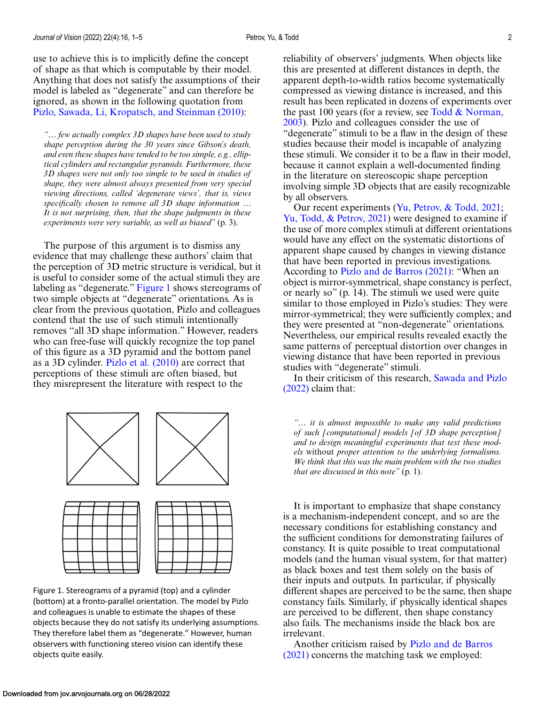<span id="page-1-0"></span>use to achieve this is to implicitly define the concept of shape as that which is computable by their model. Anything that does not satisfy the assumptions of their model is labeled as "degenerate" and can therefore be ignored, as shown in the following quotation from [Pizlo, Sawada, Li, Kropatsch, and Steinman \(2010\):](#page-4-0)

*"… few actually complex 3D shapes have been used to study shape perception during the 30 years since Gibson's death, and even these shapes have tended to be too simple, e.g., elliptical cylinders and rectangular pyramids. Furthermore, these 3D shapes were not only too simple to be used in studies of shape, they were almost always presented from very special viewing directions, called 'degenerate views', that is, views specifically chosen to remove all 3D shape information … It is not surprising, then, that the shape judgments in these experiments were very variable, as well as biased"* (p. 3).

The purpose of this argument is to dismiss any evidence that may challenge these authors' claim that the perception of 3D metric structure is veridical, but it is useful to consider some of the actual stimuli they are labeling as "degenerate." Figure 1 shows stereograms of two simple objects at "degenerate" orientations. As is clear from the previous quotation, Pizlo and colleagues contend that the use of such stimuli intentionally removes "all 3D shape information." However, readers who can free-fuse will quickly recognize the top panel of this figure as a 3D pyramid and the bottom panel as a 3D cylinder. [Pizlo et al. \(2010\)](#page-4-0) are correct that perceptions of these stimuli are often biased, but they misrepresent the literature with respect to the



Figure 1. Stereograms of a pyramid (top) and a cylinder (bottom) at a fronto-parallel orientation. The model by Pizlo and colleagues is unable to estimate the shapes of these objects because they do not satisfy its underlying assumptions. They therefore label them as "degenerate." However, human observers with functioning stereo vision can identify these objects quite easily.

reliability of observers' judgments. When objects like this are presented at different distances in depth, the apparent depth-to-width ratios become systematically compressed as viewing distance is increased, and this result has been replicated in dozens of experiments over the past 100 years (for a review, see Todd  $& \text{Norman}$ , [2003\). Pizlo and colleagues consider the use of](#page-4-0) "degenerate" stimuli to be a flaw in the design of these studies because their model is incapable of analyzing these stimuli. We consider it to be a flaw in their model, because it cannot explain a well-documented finding in the literature on stereoscopic shape perception involving simple 3D objects that are easily recognizable by all observers.

Our recent experiments [\(Yu, Petrov, & Todd, 2021;](#page-4-0) [Yu, Todd, & Petrov, 2021\)](#page-4-0) were designed to examine if the use of more complex stimuli at different orientations would have any effect on the systematic distortions of apparent shape caused by changes in viewing distance that have been reported in previous investigations. According to [Pizlo and de Barros \(2021\):](#page-4-0) "When an object is mirror-symmetrical, shape constancy is perfect, or nearly so" (p. 14). The stimuli we used were quite similar to those employed in Pizlo's studies: They were mirror-symmetrical; they were sufficiently complex; and they were presented at "non-degenerate" orientations. Nevertheless, our empirical results revealed exactly the same patterns of perceptual distortion over changes in viewing distance that have been reported in previous studies with "degenerate" stimuli.

[In their criticism of this research,](#page-4-0) Sawada and Pizlo (2022) claim that:

*"… it is almost impossible to make any valid predictions of such [computational] models [of 3D shape perception] and to design meaningful experiments that test these models* without *proper attention to the underlying formalisms. We think that this was the main problem with the two studies that are discussed in this note"* (p. 1).

It is important to emphasize that shape constancy is a mechanism-independent concept, and so are the necessary conditions for establishing constancy and the sufficient conditions for demonstrating failures of constancy. It is quite possible to treat computational models (and the human visual system, for that matter) as black boxes and test them solely on the basis of their inputs and outputs. In particular, if physically different shapes are perceived to be the same, then shape constancy fails. Similarly, if physically identical shapes are perceived to be different, then shape constancy also fails. The mechanisms inside the black box are irrelevant.

Another criticism raised by Pizlo and de Barros (2021) [concerns the matching task we employed:](#page-4-0)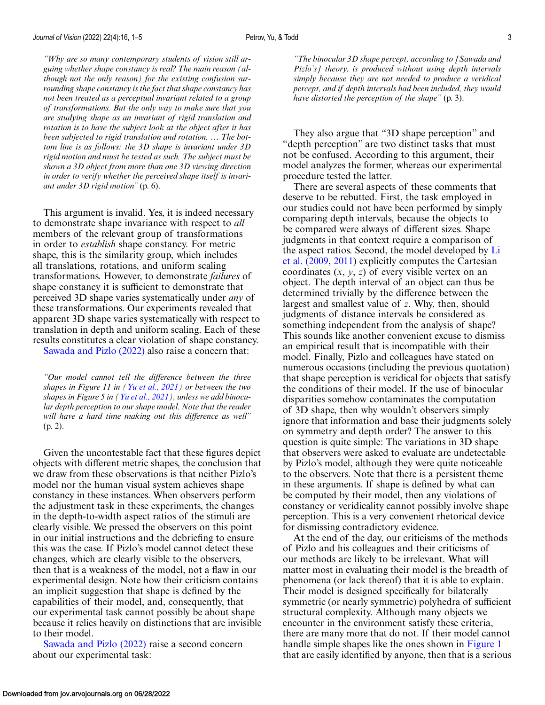*"Why are so many contemporary students of vision still arguing whether shape constancy is real? The main reason (although not the only reason) for the existing confusion surrounding shape constancy is the fact that shape constancy has not been treated as a perceptual invariant related to a group of transformations. But the only way to make sure that you are studying shape as an invariant of rigid translation and rotation is to have the subject look at the object after it has been subjected to rigid translation and rotation. … The bottom line is as follows: the 3D shape is invariant under 3D rigid motion and must be tested as such. The subject must be shown a 3D object from more than one 3D viewing direction in order to verify whether the perceived shape itself is invariant under 3D rigid motion"* (p. 6).

This argument is invalid. Yes, it is indeed necessary to demonstrate shape invariance with respect to *all* members of the relevant group of transformations in order to *establish* shape constancy. For metric shape, this is the similarity group, which includes all translations, rotations, and uniform scaling transformations. However, to demonstrate *failures* of shape constancy it is sufficient to demonstrate that perceived 3D shape varies systematically under *any* of these transformations. Our experiments revealed that apparent 3D shape varies systematically with respect to translation in depth and uniform scaling. Each of these results constitutes a clear violation of shape constancy.

[Sawada and Pizlo \(2022\)](#page-4-0) also raise a concern that:

*"Our model cannot tell the difference between the three shapes in Figure 11 in [\(Yu et al., 2021\)](#page-4-0) or between the two shapes in Figure 5 in [\(Yu et al., 2021\)](#page-4-0), unless we add binocular depth perception to our shape model. Note that the reader will have a hard time making out this difference as well"* (p. 2).

Given the uncontestable fact that these figures depict objects with different metric shapes, the conclusion that we draw from these observations is that neither Pizlo's model nor the human visual system achieves shape constancy in these instances. When observers perform the adjustment task in these experiments, the changes in the depth-to-width aspect ratios of the stimuli are clearly visible. We pressed the observers on this point in our initial instructions and the debriefing to ensure this was the case. If Pizlo's model cannot detect these changes, which are clearly visible to the observers, then that is a weakness of the model, not a flaw in our experimental design. Note how their criticism contains an implicit suggestion that shape is defined by the capabilities of their model, and, consequently, that our experimental task cannot possibly be about shape because it relies heavily on distinctions that are invisible to their model.

[Sawada and Pizlo \(2022\)](#page-4-0) raise a second concern about our experimental task:

*"The binocular 3D shape percept, according to [Sawada and Pizlo's] theory, is produced without using depth intervals simply because they are not needed to produce a veridical percept, and if depth intervals had been included, they would have distorted the perception of the shape"* (p. 3).

They also argue that "3D shape perception" and "depth perception" are two distinct tasks that must not be confused. According to this argument, their model analyzes the former, whereas our experimental procedure tested the latter.

There are several aspects of these comments that deserve to be rebutted. First, the task employed in our studies could not have been performed by simply comparing depth intervals, because the objects to be compared were always of different sizes. Shape judgments in that context require a comparison of [the aspect ratios. Second, the model developed by](#page-4-0) Li et al. (2009, [2011\)](#page-4-0) explicitly computes the Cartesian coordinates (*x*, *y*, *z*) of every visible vertex on an object. The depth interval of an object can thus be determined trivially by the difference between the largest and smallest value of *z*. Why, then, should judgments of distance intervals be considered as something independent from the analysis of shape? This sounds like another convenient excuse to dismiss an empirical result that is incompatible with their model. Finally, Pizlo and colleagues have stated on numerous occasions (including the previous quotation) that shape perception is veridical for objects that satisfy the conditions of their model. If the use of binocular disparities somehow contaminates the computation of 3D shape, then why wouldn't observers simply ignore that information and base their judgments solely on symmetry and depth order? The answer to this question is quite simple: The variations in 3D shape that observers were asked to evaluate are undetectable by Pizlo's model, although they were quite noticeable to the observers. Note that there is a persistent theme in these arguments. If shape is defined by what can be computed by their model, then any violations of constancy or veridicality cannot possibly involve shape perception. This is a very convenient rhetorical device for dismissing contradictory evidence.

At the end of the day, our criticisms of the methods of Pizlo and his colleagues and their criticisms of our methods are likely to be irrelevant. What will matter most in evaluating their model is the breadth of phenomena (or lack thereof) that it is able to explain. Their model is designed specifically for bilaterally symmetric (or nearly symmetric) polyhedra of sufficient structural complexity. Although many objects we encounter in the environment satisfy these criteria, there are many more that do not. If their model cannot handle simple shapes like the ones shown in [Figure 1](#page-1-0) that are easily identified by anyone, then that is a serious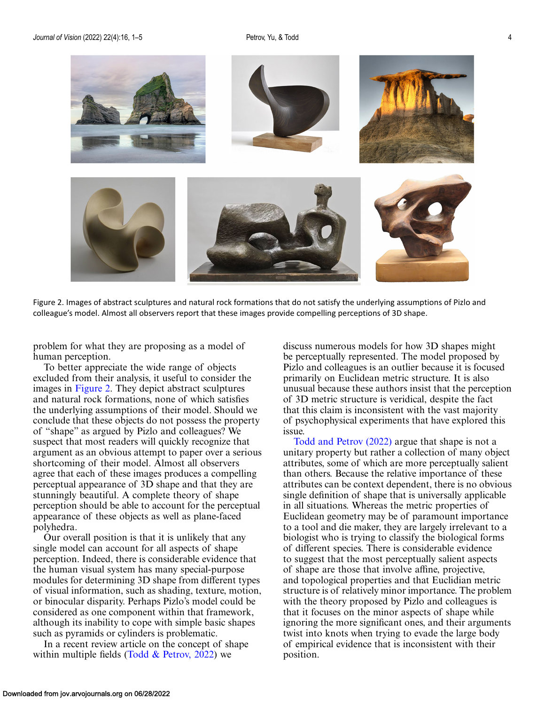

Figure 2. Images of abstract sculptures and natural rock formations that do not satisfy the underlying assumptions of Pizlo and colleague's model. Almost all observers report that these images provide compelling perceptions of 3D shape.

problem for what they are proposing as a model of human perception.

To better appreciate the wide range of objects excluded from their analysis, it useful to consider the images in Figure 2. They depict abstract sculptures and natural rock formations, none of which satisfies the underlying assumptions of their model. Should we conclude that these objects do not possess the property of "shape" as argued by Pizlo and colleagues? We suspect that most readers will quickly recognize that argument as an obvious attempt to paper over a serious shortcoming of their model. Almost all observers agree that each of these images produces a compelling perceptual appearance of 3D shape and that they are stunningly beautiful. A complete theory of shape perception should be able to account for the perceptual appearance of these objects as well as plane-faced polyhedra.

Our overall position is that it is unlikely that any single model can account for all aspects of shape perception. Indeed, there is considerable evidence that the human visual system has many special-purpose modules for determining 3D shape from different types of visual information, such as shading, texture, motion, or binocular disparity. Perhaps Pizlo's model could be considered as one component within that framework, although its inability to cope with simple basic shapes such as pyramids or cylinders is problematic.

In a recent review article on the concept of shape within multiple fields (Todd  $&$  Petrov, 2022) we

discuss numerous models for how 3D shapes might be perceptually represented. The model proposed by Pizlo and colleagues is an outlier because it is focused primarily on Euclidean metric structure. It is also unusual because these authors insist that the perception of 3D metric structure is veridical, despite the fact that this claim is inconsistent with the vast majority of psychophysical experiments that have explored this issue.

[Todd and Petrov \(2022\)](#page-4-0) argue that shape is not a unitary property but rather a collection of many object attributes, some of which are more perceptually salient than others. Because the relative importance of these attributes can be context dependent, there is no obvious single definition of shape that is universally applicable in all situations. Whereas the metric properties of Euclidean geometry may be of paramount importance to a tool and die maker, they are largely irrelevant to a biologist who is trying to classify the biological forms of different species. There is considerable evidence to suggest that the most perceptually salient aspects of shape are those that involve affine, projective, and topological properties and that Euclidian metric structure is of relatively minor importance. The problem with the theory proposed by Pizlo and colleagues is that it focuses on the minor aspects of shape while ignoring the more significant ones, and their arguments twist into knots when trying to evade the large body of empirical evidence that is inconsistent with their position.